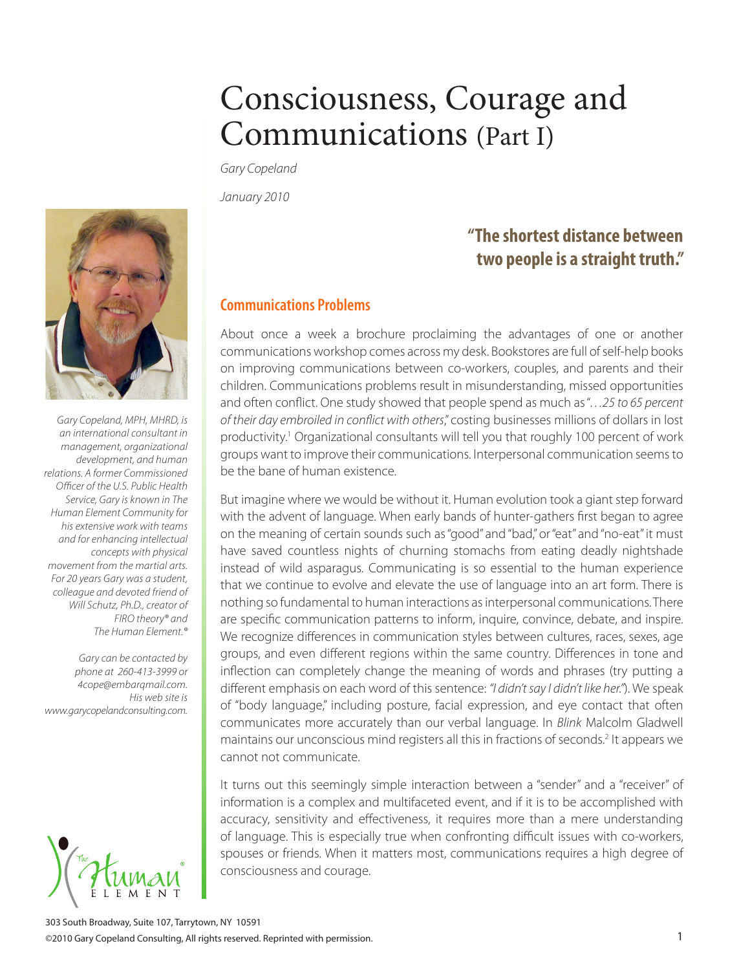*Gary Copeland*

*January 2010*

*Gary Copeland, MPH, MHRD, is an international consultant in management, organizational development, and human relations. A former Commissioned Officer of the U.S. Public Health Service, Gary is known in The Human Element Community for his extensive work with teams and for enhancing intellectual concepts with physical movement from the martial arts. For 20 years Gary was a student, colleague and devoted friend of Will Schutz, Ph.D., creator of FIRO theory® and The Human Element.®*

*Gary can be contacted by phone at 260-413-3999 or 4cope@embarqmail.com. His web site is www.garycopelandconsulting.com.*



## **"The shortest distance between two people is a straight truth."**

#### **Communications Problems**

About once a week a brochure proclaiming the advantages of one or another communications workshop comes across my desk. Bookstores are full of self-help books on improving communications between co-workers, couples, and parents and their children. Communications problems result in misunderstanding, missed opportunities and often conflict. One study showed that people spend as much as "…*25 to 65 percent of their day embroiled in conflict with others*," costing businesses millions of dollars in lost productivity.<sup>1</sup> Organizational consultants will tell you that roughly 100 percent of work groups want to improve their communications. Interpersonal communication seems to be the bane of human existence.

But imagine where we would be without it. Human evolution took a giant step forward with the advent of language. When early bands of hunter-gathers first began to agree on the meaning of certain sounds such as "good" and "bad," or "eat" and "no-eat" it must have saved countless nights of churning stomachs from eating deadly nightshade instead of wild asparagus. Communicating is so essential to the human experience that we continue to evolve and elevate the use of language into an art form. There is nothing so fundamental to human interactions as interpersonal communications. There are specific communication patterns to inform, inquire, convince, debate, and inspire. We recognize differences in communication styles between cultures, races, sexes, age groups, and even different regions within the same country. Differences in tone and inflection can completely change the meaning of words and phrases (try putting a different emphasis on each word of this sentence: *"I didn't say I didn't like her."*). We speak of "body language," including posture, facial expression, and eye contact that often communicates more accurately than our verbal language. In *Blink* Malcolm Gladwell maintains our unconscious mind registers all this in fractions of seconds.<sup>2</sup> It appears we cannot not communicate.

It turns out this seemingly simple interaction between a "sender" and a "receiver" of information is a complex and multifaceted event, and if it is to be accomplished with accuracy, sensitivity and effectiveness, it requires more than a mere understanding of language. This is especially true when confronting difficult issues with co-workers, spouses or friends. When it matters most, communications requires a high degree of consciousness and courage.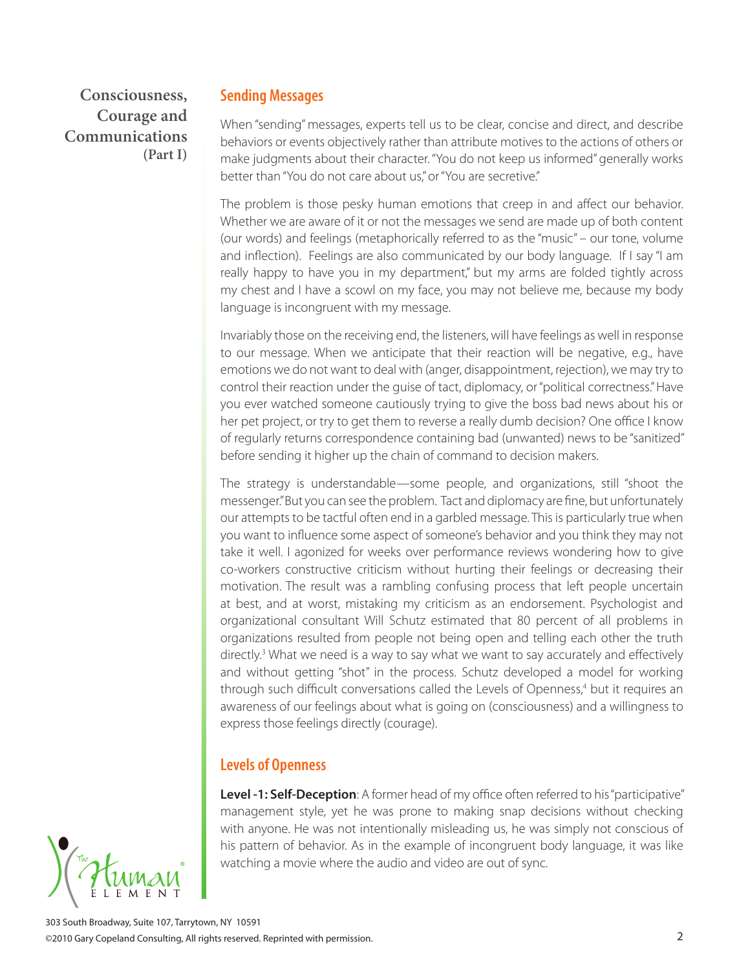#### **Sending Messages**

When "sending" messages, experts tell us to be clear, concise and direct, and describe behaviors or events objectively rather than attribute motives to the actions of others or make judgments about their character. "You do not keep us informed" generally works better than "You do not care about us," or "You are secretive."

The problem is those pesky human emotions that creep in and affect our behavior. Whether we are aware of it or not the messages we send are made up of both content (our words) and feelings (metaphorically referred to as the "music" – our tone, volume and inflection). Feelings are also communicated by our body language. If I say "I am really happy to have you in my department," but my arms are folded tightly across my chest and I have a scowl on my face, you may not believe me, because my body language is incongruent with my message.

Invariably those on the receiving end, the listeners, will have feelings as well in response to our message. When we anticipate that their reaction will be negative, e.g., have emotions we do not want to deal with (anger, disappointment, rejection), we may try to control their reaction under the guise of tact, diplomacy, or "political correctness." Have you ever watched someone cautiously trying to give the boss bad news about his or her pet project, or try to get them to reverse a really dumb decision? One office I know of regularly returns correspondence containing bad (unwanted) news to be "sanitized" before sending it higher up the chain of command to decision makers.

The strategy is understandable—some people, and organizations, still "shoot the messenger." But you can see the problem. Tact and diplomacy are fine, but unfortunately our attempts to be tactful often end in a garbled message. This is particularly true when you want to influence some aspect of someone's behavior and you think they may not take it well. I agonized for weeks over performance reviews wondering how to give co-workers constructive criticism without hurting their feelings or decreasing their motivation. The result was a rambling confusing process that left people uncertain at best, and at worst, mistaking my criticism as an endorsement. Psychologist and organizational consultant Will Schutz estimated that 80 percent of all problems in organizations resulted from people not being open and telling each other the truth directly.<sup>3</sup> What we need is a way to say what we want to say accurately and effectively and without getting "shot" in the process. Schutz developed a model for working through such difficult conversations called the Levels of Openness,<sup>4</sup> but it requires an awareness of our feelings about what is going on (consciousness) and a willingness to express those feelings directly (courage).

#### **Levels of Openness**

**Level -1: Self-Deception**: A former head of my office often referred to his "participative" management style, yet he was prone to making snap decisions without checking with anyone. He was not intentionally misleading us, he was simply not conscious of his pattern of behavior. As in the example of incongruent body language, it was like watching a movie where the audio and video are out of sync.

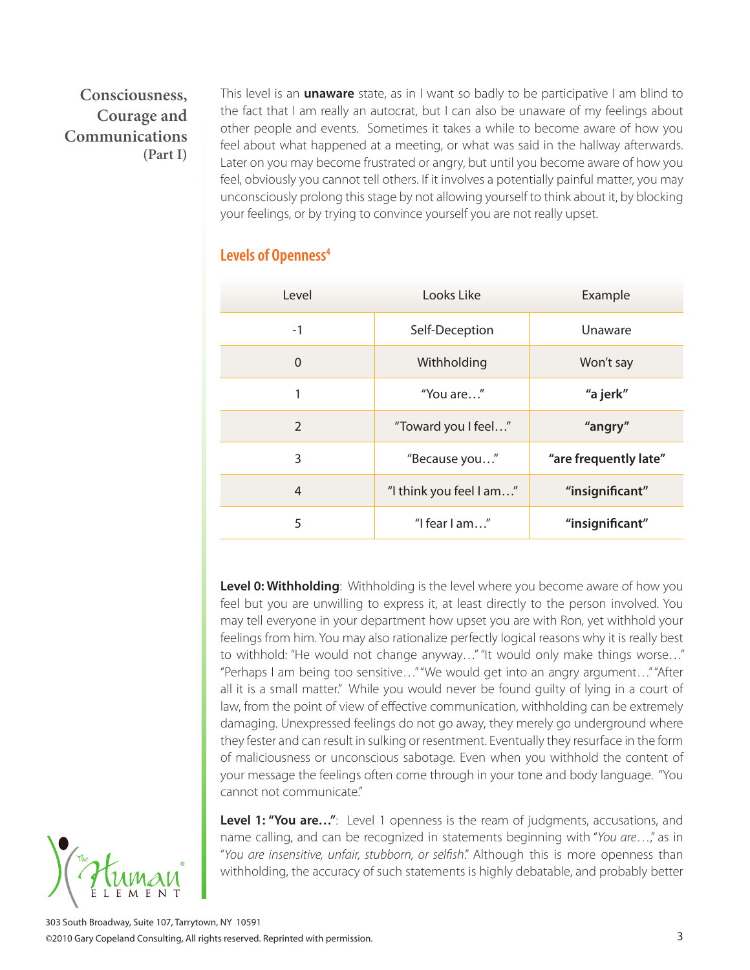This level is an **unaware** state, as in I want so badly to be participative I am blind to the fact that I am really an autocrat, but I can also be unaware of my feelings about other people and events. Sometimes it takes a while to become aware of how you feel about what happened at a meeting, or what was said in the hallway afterwards. Later on you may become frustrated or angry, but until you become aware of how you feel, obviously you cannot tell others. If it involves a potentially painful matter, you may unconsciously prolong this stage by not allowing yourself to think about it, by blocking your feelings, or by trying to convince yourself you are not really upset.

| Level          | Looks Like              | Example               |
|----------------|-------------------------|-----------------------|
| $-1$           | Self-Deception          | Unaware               |
| $\Omega$       | Withholding             | Won't say             |
| 1              | "You are"               | "a jerk"              |
| $\overline{2}$ | "Toward you I feel"     | "angry"               |
| 3              | "Because you"           | "are frequently late" |
| $\overline{4}$ | "I think you feel I am" | "insignificant"       |
| 5              | "I fear $l$ am"         | "insignificant"       |

#### **Levels of Openness4**

**Level 0: Withholding**: Withholding is the level where you become aware of how you feel but you are unwilling to express it, at least directly to the person involved. You may tell everyone in your department how upset you are with Ron, yet withhold your feelings from him. You may also rationalize perfectly logical reasons why it is really best to withhold: "He would not change anyway…" "It would only make things worse…" "Perhaps I am being too sensitive…" "We would get into an angry argument…" "After all it is a small matter." While you would never be found guilty of lying in a court of law, from the point of view of effective communication, withholding can be extremely damaging. Unexpressed feelings do not go away, they merely go underground where they fester and can result in sulking or resentment. Eventually they resurface in the form of maliciousness or unconscious sabotage. Even when you withhold the content of your message the feelings often come through in your tone and body language. "You cannot not communicate."

**Level 1: "You are…"**: Level 1 openness is the ream of judgments, accusations, and name calling, and can be recognized in statements beginning with "*You are*…," as in "*You are insensitive, unfair, stubborn, or selfish*." Although this is more openness than withholding, the accuracy of such statements is highly debatable, and probably better

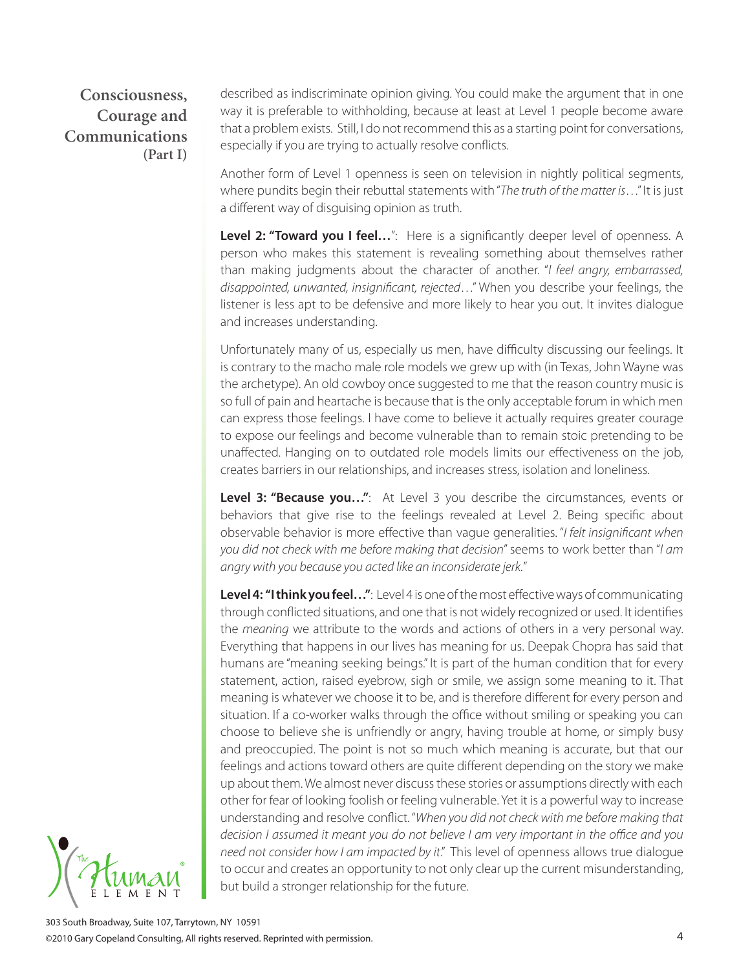described as indiscriminate opinion giving. You could make the argument that in one way it is preferable to withholding, because at least at Level 1 people become aware that a problem exists. Still, I do not recommend this as a starting point for conversations, especially if you are trying to actually resolve conflicts.

Another form of Level 1 openness is seen on television in nightly political segments, where pundits begin their rebuttal statements with "*The truth of the matter is*…" It is just a different way of disguising opinion as truth.

Level 2: "Toward you I feel...": Here is a significantly deeper level of openness. A person who makes this statement is revealing something about themselves rather than making judgments about the character of another. "*I feel angry, embarrassed, disappointed, unwanted, insignificant, rejected*…" When you describe your feelings, the listener is less apt to be defensive and more likely to hear you out. It invites dialogue and increases understanding.

Unfortunately many of us, especially us men, have difficulty discussing our feelings. It is contrary to the macho male role models we grew up with (in Texas, John Wayne was the archetype). An old cowboy once suggested to me that the reason country music is so full of pain and heartache is because that is the only acceptable forum in which men can express those feelings. I have come to believe it actually requires greater courage to expose our feelings and become vulnerable than to remain stoic pretending to be unaffected. Hanging on to outdated role models limits our effectiveness on the job, creates barriers in our relationships, and increases stress, isolation and loneliness.

**Level 3: "Because you…"**: At Level 3 you describe the circumstances, events or behaviors that give rise to the feelings revealed at Level 2. Being specific about observable behavior is more effective than vague generalities. "*I felt insignificant when you did not check with me before making that decision*" seems to work better than "*I am angry with you because you acted like an inconsiderate jerk.*"

**Level 4: "I think you feel…"**: Level 4 is one of the most effective ways of communicating through conflicted situations, and one that is not widely recognized or used. It identifies the *meaning* we attribute to the words and actions of others in a very personal way. Everything that happens in our lives has meaning for us. Deepak Chopra has said that humans are "meaning seeking beings." It is part of the human condition that for every statement, action, raised eyebrow, sigh or smile, we assign some meaning to it. That meaning is whatever we choose it to be, and is therefore different for every person and situation. If a co-worker walks through the office without smiling or speaking you can choose to believe she is unfriendly or angry, having trouble at home, or simply busy and preoccupied. The point is not so much which meaning is accurate, but that our feelings and actions toward others are quite different depending on the story we make up about them. We almost never discuss these stories or assumptions directly with each other for fear of looking foolish or feeling vulnerable. Yet it is a powerful way to increase understanding and resolve conflict. "*When you did not check with me before making that decision I assumed it meant you do not believe I am very important in the office and you need not consider how I am impacted by it*." This level of openness allows true dialogue to occur and creates an opportunity to not only clear up the current misunderstanding, but build a stronger relationship for the future.